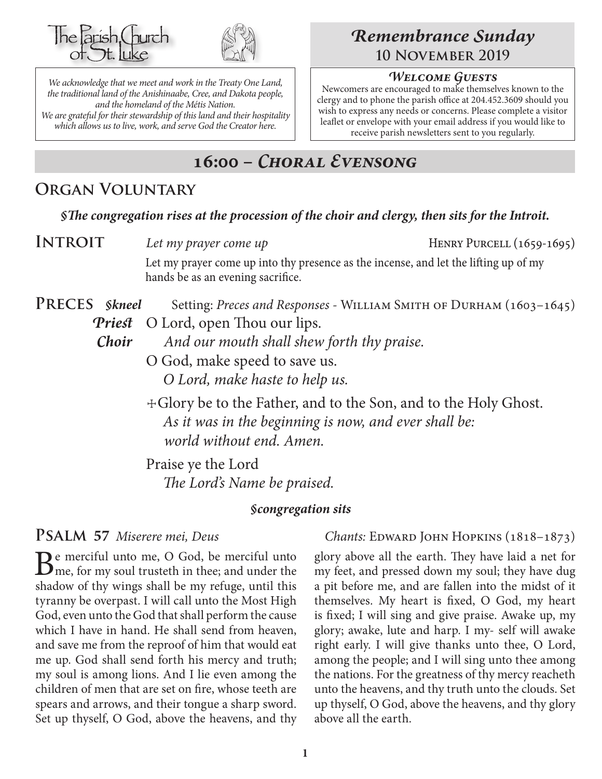



*We acknowledge that we meet and work in the Treaty One Land, the traditional land of the Anishinaabe, Cree, and Dakota people, and the homeland of the Métis Nation. We are grateful for their stewardship of this land and their hospitality which allows us to live, work, and serve God the Creator here.*

## *Remembrance Sunday* **10 November 2019**

#### *Welcome Guests*

Newcomers are encouraged to make themselves known to the clergy and to phone the parish office at 204.452.3609 should you wish to express any needs or concerns. Please complete a visitor leaflet or envelope with your email address if you would like to receive parish newsletters sent to you regularly.

# **16:00 –** *Choral Evensong*

## **Organ Voluntary**

#### *§The congregation rises at the procession of the choir and clergy, then sits for the Introit.*

**INTROIT** Let my prayer come up HENRY PURCELL (1659-1695)

Let my prayer come up into thy presence as the incense, and let the lifting up of my hands be as an evening sacrifice.

PRECES *Skneel* Setting: *Preces and Responses* - WILLIAM SMITH OF DURHAM (1603–1645) *Priest* O Lord, open Thou our lips.

*Choir And our mouth shall shew forth thy praise.*

O God, make speed to save us. *O Lord, make haste to help us.*

 ☩Glory be to the Father, and to the Son, and to the Holy Ghost. *As it was in the beginning is now, and ever shall be: world without end. Amen.*

Praise ye the Lord *The Lord's Name be praised.*

#### *§congregation sits*

 $B<sup>e</sup>$  merciful unto me, O God, be merciful unto  $B<sup>e</sup>$  me, for my soul trusteth in thee; and under the shadow of thy wings shall be my refuge, until this tyranny be overpast. I will call unto the Most High God, even unto the God that shall perform the cause which I have in hand. He shall send from heaven, and save me from the reproof of him that would eat me up. God shall send forth his mercy and truth; my soul is among lions. And I lie even among the children of men that are set on fire, whose teeth are spears and arrows, and their tongue a sharp sword. Set up thyself, O God, above the heavens, and thy

**PSALM** 57 Miserere mei, Deus *Chants: EDWARD JOHN HOPKINS* (1818–1873)

glory above all the earth. They have laid a net for my feet, and pressed down my soul; they have dug a pit before me, and are fallen into the midst of it themselves. My heart is fixed, O God, my heart is fixed; I will sing and give praise. Awake up, my glory; awake, lute and harp. I my- self will awake right early. I will give thanks unto thee, O Lord, among the people; and I will sing unto thee among the nations. For the greatness of thy mercy reacheth unto the heavens, and thy truth unto the clouds. Set up thyself, O God, above the heavens, and thy glory above all the earth.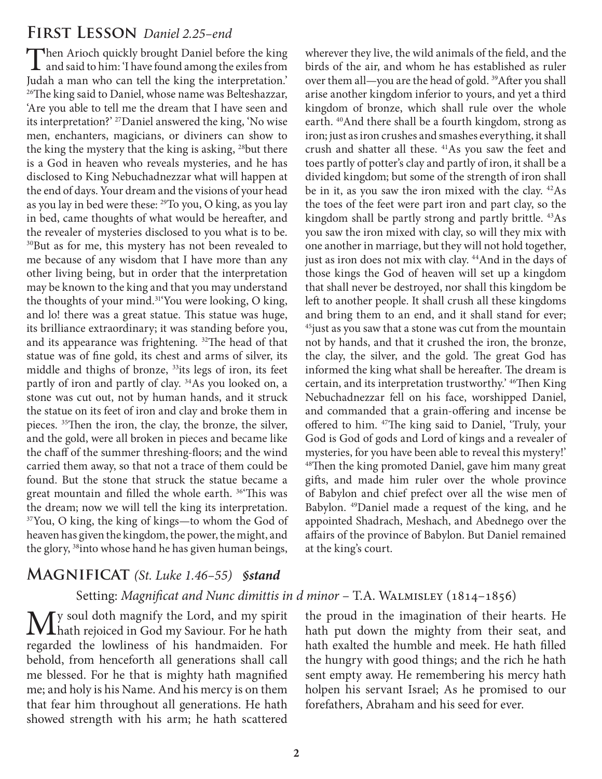#### **First Lesson** *Daniel 2.25–end*

Then Arioch quickly brought Daniel before the king<br>and said to him: 'I have found among the exiles from Judah a man who can tell the king the interpretation.' <sup>26</sup>The king said to Daniel, whose name was Belteshazzar, 'Are you able to tell me the dream that I have seen and its interpretation?' 27Daniel answered the king, 'No wise men, enchanters, magicians, or diviners can show to the king the mystery that the king is asking, <sup>28</sup>but there is a God in heaven who reveals mysteries, and he has disclosed to King Nebuchadnezzar what will happen at the end of days. Your dream and the visions of your head as you lay in bed were these: 29To you, O king, as you lay in bed, came thoughts of what would be hereafter, and the revealer of mysteries disclosed to you what is to be. <sup>30</sup>But as for me, this mystery has not been revealed to me because of any wisdom that I have more than any other living being, but in order that the interpretation may be known to the king and that you may understand the thoughts of your mind.<sup>31</sup>You were looking, O king, and lo! there was a great statue. This statue was huge, its brilliance extraordinary; it was standing before you, and its appearance was frightening. 32The head of that statue was of fine gold, its chest and arms of silver, its middle and thighs of bronze, <sup>33</sup>its legs of iron, its feet partly of iron and partly of clay. 34As you looked on, a stone was cut out, not by human hands, and it struck the statue on its feet of iron and clay and broke them in pieces. 35Then the iron, the clay, the bronze, the silver, and the gold, were all broken in pieces and became like the chaff of the summer threshing-floors; and the wind carried them away, so that not a trace of them could be found. But the stone that struck the statue became a great mountain and filled the whole earth. 36'This was the dream; now we will tell the king its interpretation. 37You, O king, the king of kings—to whom the God of heaven has given the kingdom, the power, the might, and the glory, <sup>38</sup>into whose hand he has given human beings,

#### **Magnificat** *(St. Luke 1.46–55) §stand*

Setting: Magnificat and Nunc dimittis in d minor - T.A. WALMISLEY (1814-1856)

My soul doth magnify the Lord, and my spirit<br>hath rejoiced in God my Saviour. For he hath regarded the lowliness of his handmaiden. For behold, from henceforth all generations shall call me blessed. For he that is mighty hath magnified me; and holy is his Name. And his mercy is on them that fear him throughout all generations. He hath showed strength with his arm; he hath scattered

wherever they live, the wild animals of the field, and the birds of the air, and whom he has established as ruler over them all—you are the head of gold. 39After you shall arise another kingdom inferior to yours, and yet a third kingdom of bronze, which shall rule over the whole earth. <sup>40</sup>And there shall be a fourth kingdom, strong as iron; just as iron crushes and smashes everything, it shall crush and shatter all these. 41As you saw the feet and toes partly of potter's clay and partly of iron, it shall be a divided kingdom; but some of the strength of iron shall be in it, as you saw the iron mixed with the clay. 42As the toes of the feet were part iron and part clay, so the kingdom shall be partly strong and partly brittle. 43As you saw the iron mixed with clay, so will they mix with one another in marriage, but they will not hold together, just as iron does not mix with clay.<sup>44</sup>And in the days of those kings the God of heaven will set up a kingdom that shall never be destroyed, nor shall this kingdom be left to another people. It shall crush all these kingdoms and bring them to an end, and it shall stand for ever; 45just as you saw that a stone was cut from the mountain not by hands, and that it crushed the iron, the bronze, the clay, the silver, and the gold. The great God has informed the king what shall be hereafter. The dream is certain, and its interpretation trustworthy.' <sup>46</sup>Then King Nebuchadnezzar fell on his face, worshipped Daniel, and commanded that a grain-offering and incense be offered to him. 47The king said to Daniel, 'Truly, your God is God of gods and Lord of kings and a revealer of mysteries, for you have been able to reveal this mystery!' <sup>48</sup>Then the king promoted Daniel, gave him many great gifts, and made him ruler over the whole province of Babylon and chief prefect over all the wise men of Babylon. 49Daniel made a request of the king, and he appointed Shadrach, Meshach, and Abednego over the affairs of the province of Babylon. But Daniel remained at the king's court.

the proud in the imagination of their hearts. He hath put down the mighty from their seat, and hath exalted the humble and meek. He hath filled the hungry with good things; and the rich he hath sent empty away. He remembering his mercy hath holpen his servant Israel; As he promised to our forefathers, Abraham and his seed for ever.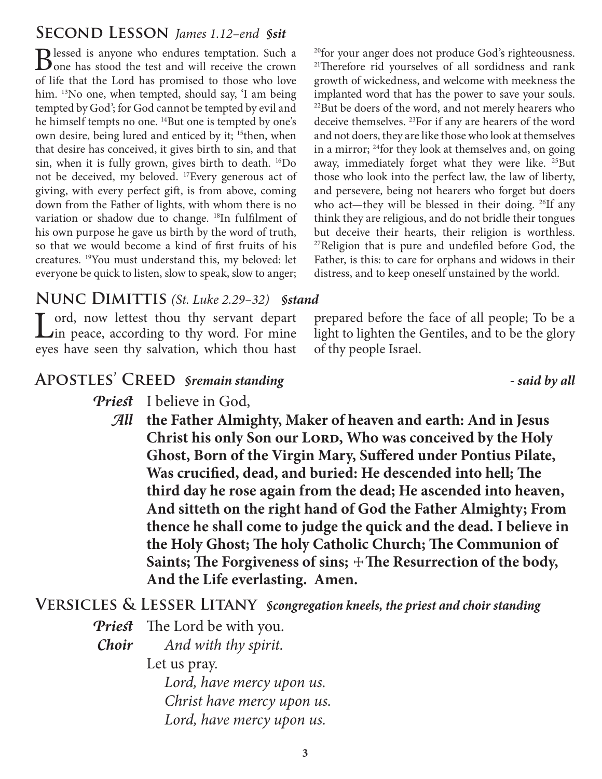## **Second Lesson** *James 1.12–end §sit*

Blessed is anyone who endures temptation. Such a Such as stood the test and will receive the crown of life that the Lord has promised to those who love him. <sup>13</sup>No one, when tempted, should say, 'I am being tempted by God'; for God cannot be tempted by evil and he himself tempts no one. <sup>14</sup>But one is tempted by one's own desire, being lured and enticed by it; <sup>15</sup>then, when that desire has conceived, it gives birth to sin, and that sin, when it is fully grown, gives birth to death. 16Do not be deceived, my beloved. 17Every generous act of giving, with every perfect gift, is from above, coming down from the Father of lights, with whom there is no variation or shadow due to change. <sup>18</sup>In fulfilment of his own purpose he gave us birth by the word of truth, so that we would become a kind of first fruits of his creatures. 19You must understand this, my beloved: let everyone be quick to listen, slow to speak, slow to anger;

<sup>20</sup>for your anger does not produce God's righteousness. <sup>21</sup>Therefore rid yourselves of all sordidness and rank growth of wickedness, and welcome with meekness the implanted word that has the power to save your souls. 22But be doers of the word, and not merely hearers who deceive themselves. 23For if any are hearers of the word and not doers, they are like those who look at themselves in a mirror; <sup>24</sup>for they look at themselves and, on going away, immediately forget what they were like. <sup>25</sup>But those who look into the perfect law, the law of liberty, and persevere, being not hearers who forget but doers who act—they will be blessed in their doing. <sup>26</sup>If any think they are religious, and do not bridle their tongues but deceive their hearts, their religion is worthless. <sup>27</sup>Religion that is pure and undefiled before God, the Father, is this: to care for orphans and widows in their distress, and to keep oneself unstained by the world.

prepared before the face of all people; To be a light to lighten the Gentiles, and to be the glory

#### **Nunc Dimittis** *(St. Luke 2.29–32) §stand*

Lord, now lettest thou thy servant depart<br>Lin peace, according to thy word. For mine eyes have seen thy salvation, which thou hast

#### **Apostles' Creed** *§remain standing - said by all*

- *Priest* I believe in God,
	- *All* **the Father Almighty, Maker of heaven and earth: And in Jesus**  Christ his only Son our LORD, Who was conceived by the Holy **Ghost, Born of the Virgin Mary, Suffered under Pontius Pilate, Was crucified, dead, and buried: He descended into hell; The third day he rose again from the dead; He ascended into heaven, And sitteth on the right hand of God the Father Almighty; From thence he shall come to judge the quick and the dead. I believe in the Holy Ghost; The holy Catholic Church; The Communion of**  Saints; The Forgiveness of sins;  $\pm$ The Resurrection of the body, **And the Life everlasting. Amen.**

of thy people Israel.

#### **Versicles & Lesser Litany** *§congregation kneels, the priest and choir standing*

*Priest* The Lord be with you.

*Choir And with thy spirit.*

Let us pray.

 *Lord, have mercy upon us. Christ have mercy upon us. Lord, have mercy upon us.*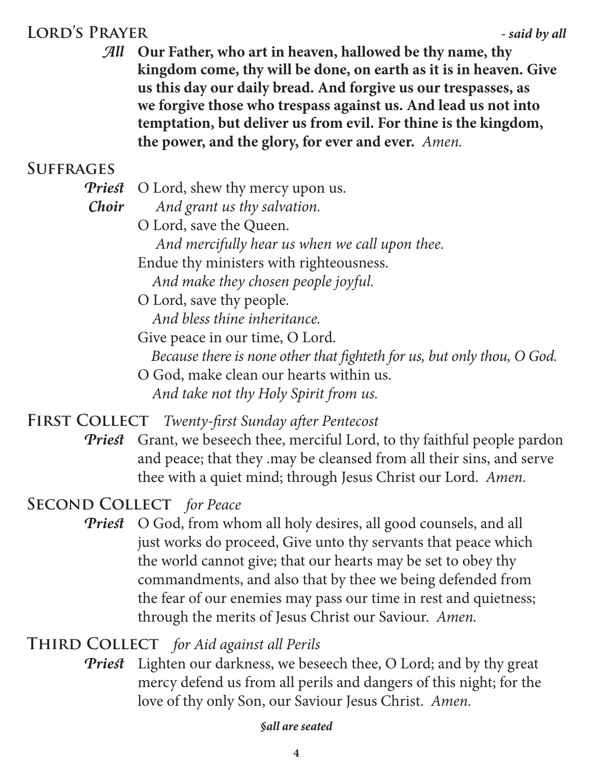# **Lord's Prayer** *- said by all*

*All* **Our Father, who art in heaven, hallowed be thy name, thy kingdom come, thy will be done, on earth as it is in heaven. Give us this day our daily bread. And forgive us our trespasses, as we forgive those who trespass against us. And lead us not into temptation, but deliver us from evil. For thine is the kingdom, the power, and the glory, for ever and ever.** *Amen.*

## **Suffrages**

- *Priest* O Lord, shew thy mercy upon us.
- *Choir And grant us thy salvation.*

O Lord, save the Queen.  *And mercifully hear us when we call upon thee.* Endue thy ministers with righteousness.  *And make they chosen people joyful.* O Lord, save thy people.

 *And bless thine inheritance.*

Give peace in our time, O Lord.  *Because there is none other that fighteth for us, but only thou, O God.*

O God, make clean our hearts within us.  *And take not thy Holy Spirit from us.*

**First Collect** *Twenty-first Sunday after Pentecost*

*Priest* Grant, we beseech thee, merciful Lord, to thy faithful people pardon and peace; that they .may be cleansed from all their sins, and serve thee with a quiet mind; through Jesus Christ our Lord. *Amen.*

## **Second Collect** *for Peace*

*Priest* O God, from whom all holy desires, all good counsels, and all just works do proceed, Give unto thy servants that peace which the world cannot give; that our hearts may be set to obey thy commandments, and also that by thee we being defended from the fear of our enemies may pass our time in rest and quietness; through the merits of Jesus Christ our Saviour. *Amen.*

**Third Collect** *for Aid against all Perils*

*Priest* Lighten our darkness, we beseech thee, O Lord; and by thy great mercy defend us from all perils and dangers of this night; for the love of thy only Son, our Saviour Jesus Christ. *Amen.*

#### *§all are seated*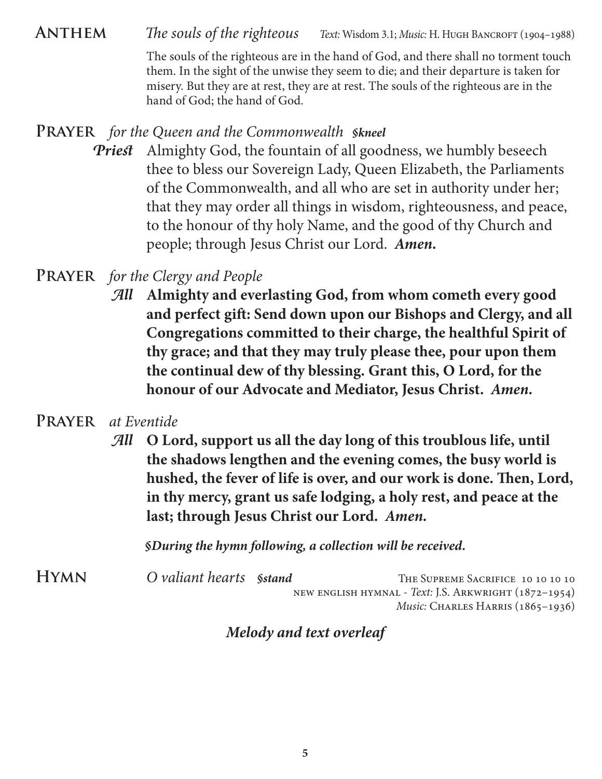ANTHEM *The souls of the righteous Text:* Wisdom 3.1; *Music: H. Hugh Bancroft* (1904–1988)

The souls of the righteous are in the hand of God, and there shall no torment touch them. In the sight of the unwise they seem to die; and their departure is taken for misery. But they are at rest, they are at rest. The souls of the righteous are in the hand of God; the hand of God*.*

#### **Prayer** *for the Queen and the Commonwealth §kneel*

**Priest** Almighty God, the fountain of all goodness, we humbly beseech thee to bless our Sovereign Lady, Queen Elizabeth, the Parliaments of the Commonwealth, and all who are set in authority under her; that they may order all things in wisdom, righteousness, and peace, to the honour of thy holy Name, and the good of thy Church and people; through Jesus Christ our Lord. *Amen.*

# **Prayer** *for the Clergy and People*

*All* **Almighty and everlasting God, from whom cometh every good and perfect gift: Send down upon our Bishops and Clergy, and all Congregations committed to their charge, the healthful Spirit of thy grace; and that they may truly please thee, pour upon them the continual dew of thy blessing. Grant this, O Lord, for the honour of our Advocate and Mediator, Jesus Christ.** *Amen.*

## **Prayer** *at Eventide*

*All* **O Lord, support us all the day long of this troublous life, until the shadows lengthen and the evening comes, the busy world is hushed, the fever of life is over, and our work is done. Then, Lord, in thy mercy, grant us safe lodging, a holy rest, and peace at the last; through Jesus Christ our Lord.** *Amen.*

*§During the hymn following, a collection will be received.*

**HYMN** *O valiant hearts Sstand* THE SUPREME SACRIFICE 10 10 10 10 new english hymnal - *Text:* J.S. Arkwright (1872–1954) *Music:* CHARLES HARRIS (1865-1936)

## *Melody and text overleaf*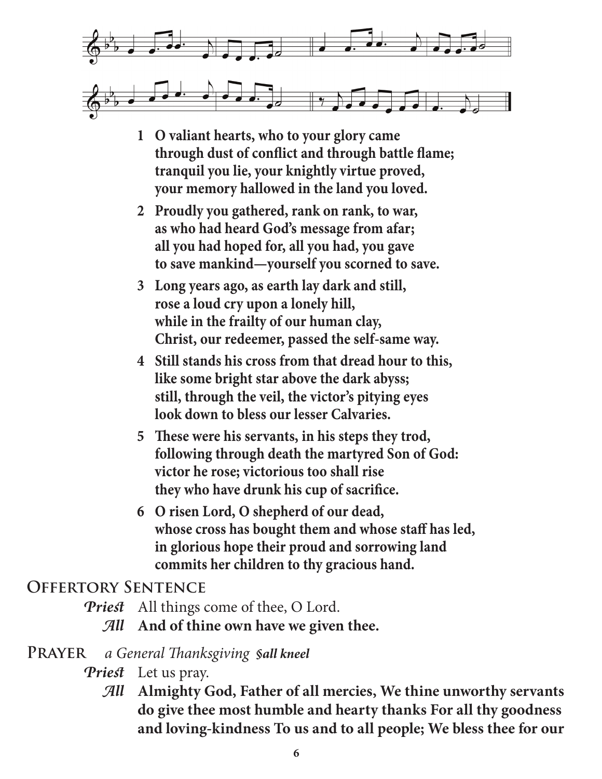

- **1 O valiant hearts, who to your glory came through dust of conflict and through battle flame; tranquil you lie, your knightly virtue proved, your memory hallowed in the land you loved.**
- **2 Proudly you gathered, rank on rank, to war, as who had heard God's message from afar; all you had hoped for, all you had, you gave to save mankind—yourself you scorned to save.**
- **3 Long years ago, as earth lay dark and still, rose a loud cry upon a lonely hill, while in the frailty of our human clay, Christ, our redeemer, passed the self-same way.**
- **4 Still stands his cross from that dread hour to this, like some bright star above the dark abyss; still, through the veil, the victor's pitying eyes look down to bless our lesser Calvaries.**
- **5 These were his servants, in his steps they trod, following through death the martyred Son of God: victor he rose; victorious too shall rise they who have drunk his cup of sacrifice.**
- **6 O risen Lord, O shepherd of our dead, whose cross has bought them and whose staff has led, in glorious hope their proud and sorrowing land commits her children to thy gracious hand.**

## **Offertory Sentence**

- *Priest* All things come of thee, O Lord.
	- *All* **And of thine own have we given thee.**

## **Prayer** *a General Thanksgiving §all kneel*

- *Priest* Let us pray.
	- *All* **Almighty God, Father of all mercies, We thine unworthy servants do give thee most humble and hearty thanks For all thy goodness and loving-kindness To us and to all people; We bless thee for our**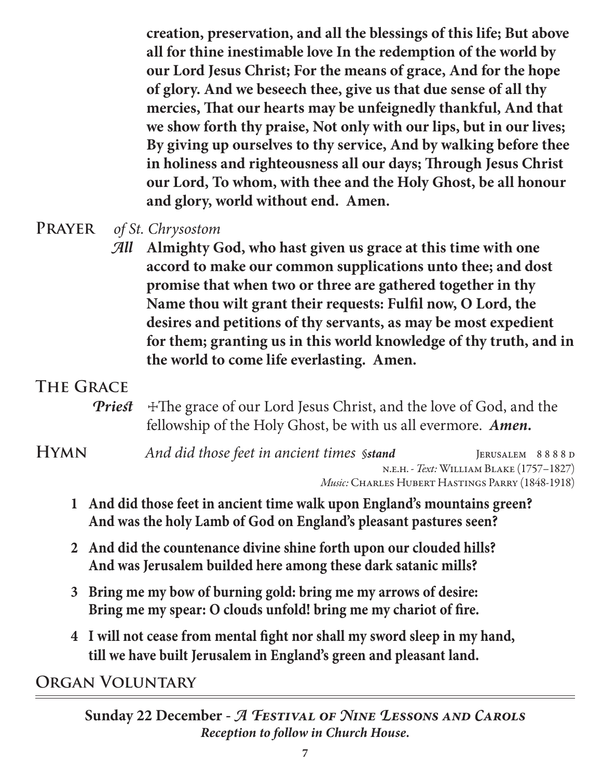**creation, preservation, and all the blessings of this life; But above all for thine inestimable love In the redemption of the world by our Lord Jesus Christ; For the means of grace, And for the hope of glory. And we beseech thee, give us that due sense of all thy mercies, That our hearts may be unfeignedly thankful, And that we show forth thy praise, Not only with our lips, but in our lives; By giving up ourselves to thy service, And by walking before thee in holiness and righteousness all our days; Through Jesus Christ our Lord, To whom, with thee and the Holy Ghost, be all honour and glory, world without end. Amen.**

- **Prayer** *of St. Chrysostom*
	- *All* **Almighty God, who hast given us grace at this time with one accord to make our common supplications unto thee; and dost promise that when two or three are gathered together in thy Name thou wilt grant their requests: Fulfil now, O Lord, the desires and petitions of thy servants, as may be most expedient for them; granting us in this world knowledge of thy truth, and in the world to come life everlasting. Amen.**

# **The Grace**

- **Priest**  $\pm$ The grace of our Lord Jesus Christ, and the love of God, and the fellowship of the Holy Ghost, be with us all evermore. *Amen.*
- **HYMN** *And did those feet in ancient times §stand* JERUSALEM 8888 D n.e.h. - *Text:*William Blake (1757–1827) *Music:* Charles Hubert Hastings Parry (1848-1918)
	- **1 And did those feet in ancient time walk upon England's mountains green? And was the holy Lamb of God on England's pleasant pastures seen?**
	- **2 And did the countenance divine shine forth upon our clouded hills? And was Jerusalem builded here among these dark satanic mills?**
	- **3 Bring me my bow of burning gold: bring me my arrows of desire: Bring me my spear: O clouds unfold! bring me my chariot of fire.**
	- **4 I will not cease from mental fight nor shall my sword sleep in my hand, till we have built Jerusalem in England's green and pleasant land.**

**Organ Voluntary**

**Sunday 22 December -** *A Festival of Nine Lessons and Carols Reception to follow in Church House.*